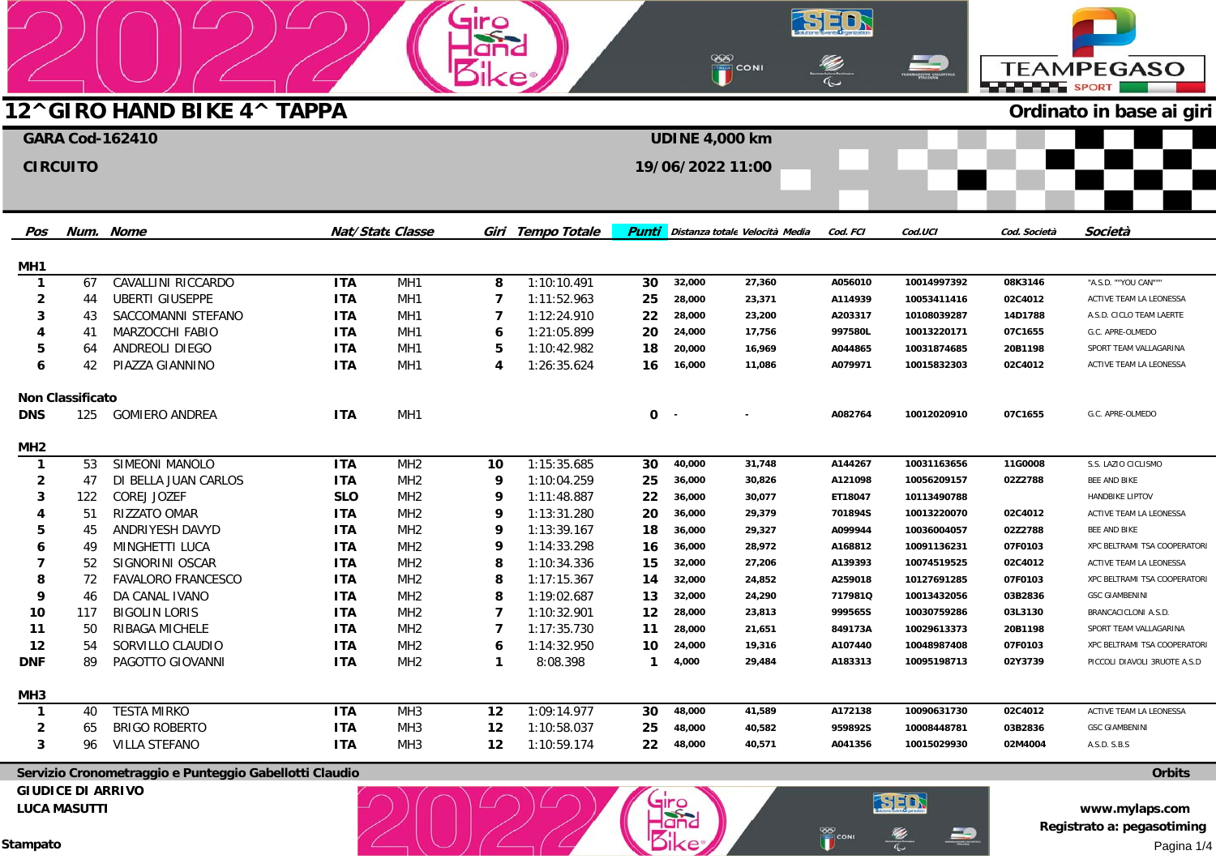|                                 |                          |                                                        |                          |                                    | <b>Siro</b>    |                            |                    |                 | <b>EXP</b><br>The CONI         |                    | <u>29</u>                  |                    |                                                              |
|---------------------------------|--------------------------|--------------------------------------------------------|--------------------------|------------------------------------|----------------|----------------------------|--------------------|-----------------|--------------------------------|--------------------|----------------------------|--------------------|--------------------------------------------------------------|
|                                 |                          |                                                        |                          |                                    |                |                            |                    |                 |                                |                    |                            | <b>SPORT</b>       | <b>TEAMPEGASO</b>                                            |
|                                 |                          | 12^GIRO HAND BIKE 4^ TAPPA                             |                          |                                    |                |                            |                    |                 |                                |                    |                            |                    | Ordinato in base ai giri                                     |
|                                 |                          | <b>GARA Cod-162410</b>                                 |                          |                                    |                |                            |                    |                 | <b>UDINE 4,000 km</b>          |                    |                            |                    |                                                              |
|                                 | <b>CIRCUITO</b>          |                                                        |                          |                                    |                |                            |                    |                 | 19/06/2022 11:00               |                    |                            |                    |                                                              |
| Pos                             |                          | Num. Nome                                              |                          | <b>Nat/State Classe</b>            |                | Giri Tempo Totale          | <b>Punti</b>       |                 | Distanza totale Velocità Media | Cod. FCI           | Cod.UCI                    | Cod. Società       | Società                                                      |
| MH1                             |                          |                                                        |                          |                                    |                |                            |                    |                 |                                |                    |                            |                    |                                                              |
| $\mathbf{1}$                    | 67                       | CAVALLINI RICCARDO                                     | <b>ITA</b>               | MH <sub>1</sub>                    | 8              | 1:10:10.491                | 30                 | 32,000          | 27,360                         | A056010            | 10014997392                | 08K3146            | "A.S.D. ""YOU CAN"""                                         |
| 2                               | 44                       | <b>UBERTI GIUSEPPE</b>                                 | <b>ITA</b>               | MH <sub>1</sub>                    | 7              | 1:11:52.963                | 25                 | 28,000          | 23,371                         | A114939            | 10053411416                | 02C4012            | ACTIVE TEAM LA LEONESSA                                      |
|                                 | 43                       | SACCOMANNI STEFANO                                     | <b>ITA</b>               | MH1                                | 7              | 1:12:24.910                | 22                 | 28,000          | 23,200                         | A203317            | 10108039287                | 14D1788            | A.S.D. CICLO TEAM LAERTE                                     |
|                                 | 41                       | MARZOCCHI FABIO                                        | <b>ITA</b>               | MH1                                | 6              | 1:21:05.899                | 20                 | 24,000          | 17,756                         | 997580L            | 10013220171                | 07C1655            | G.C. APRE-OLMEDO                                             |
| 5                               | 64                       | ANDREOLI DIEGO                                         | <b>ITA</b>               | MH <sub>1</sub>                    | 5              | 1:10:42.982                | 18                 | 20,000          | 16,969                         | A044865            | 10031874685                | 20B1198            | SPORT TEAM VALLAGARINA                                       |
| 6                               | 42                       | PIAZZA GIANNINO                                        | <b>ITA</b>               | MH <sub>1</sub>                    | $\overline{4}$ | 1:26:35.624                | 16                 | 16,000          | 11,086                         | A079971            | 10015832303                | 02C4012            | ACTIVE TEAM LA LEONESSA                                      |
|                                 | <b>Non Classificato</b>  |                                                        |                          |                                    |                |                            |                    |                 |                                |                    |                            |                    |                                                              |
| <b>DNS</b>                      | 125                      | <b>GOMIERO ANDREA</b>                                  | <b>ITA</b>               | MH <sub>1</sub>                    |                |                            | 0                  | $\sim$          |                                | A082764            | 10012020910                | 07C1655            | G.C. APRE-OLMEDO                                             |
| MH <sub>2</sub>                 |                          |                                                        |                          |                                    |                |                            |                    |                 |                                |                    |                            |                    |                                                              |
| $\mathbf{1}$                    | 53                       | SIMEONI MANOLO                                         | <b>ITA</b>               | MH <sub>2</sub>                    | 10             | 1:15:35.685                | 30                 | 40,000          | 31,748                         | A144267            | 10031163656                | 11G0008            | S.S. LAZIO CICLISMO                                          |
| 2                               | 47                       | DI BELLA JUAN CARLOS                                   | <b>ITA</b>               | MH <sub>2</sub>                    | 9              | 1:10:04.259                | 25                 | 36,000          | 30,826                         | A121098            | 10056209157                | 02Z2788            | BEE AND BIKE                                                 |
| 3                               | 122                      | COREJ JOZEF                                            | <b>SLO</b>               | MH <sub>2</sub>                    | 9              | 1:11:48.887                | 22                 | 36,000          | 30,077                         | ET18047            | 10113490788                |                    | <b>HANDBIKE LIPTOV</b>                                       |
|                                 | 51                       | RIZZATO OMAR                                           | <b>ITA</b>               | MH <sub>2</sub>                    | 9              | 1:13:31.280                | 20                 | 36,000          | 29,379                         | 701894S            | 10013220070                | 02C4012            | ACTIVE TEAM LA LEONESSA                                      |
|                                 | 45                       | ANDRIYESH DAVYD                                        | <b>ITA</b>               | MH <sub>2</sub>                    | 9              | 1:13:39.167                | 18                 | 36,000          | 29,327                         | A099944            | 10036004057                | 02Z2788            | BEE AND BIKE                                                 |
|                                 | 49                       | MINGHETTI LUCA                                         | <b>ITA</b>               | MH <sub>2</sub>                    | 9              | 1:14:33.298                | 16                 | 36,000          | 28,972                         | A168812            | 10091136231                | 07F0103            | XPC BELTRAMI TSA COOPERATOR                                  |
|                                 | 52                       | SIGNORINI OSCAR                                        | <b>ITA</b>               | MH <sub>2</sub>                    | 8              | 1:10:34.336                | 15                 | 32,000          | 27,206                         | A139393            | 10074519525                | 02C4012            | ACTIVE TEAM LA LEONESSA                                      |
|                                 | 72                       | <b>FAVALORO FRANCESCO</b>                              | <b>ITA</b>               | MH <sub>2</sub>                    | 8              | 1:17:15.367                | 14                 | 32,000          | 24,852                         | A259018            | 10127691285                | 07F0103            | XPC BELTRAMI TSA COOPERATOR                                  |
| 9                               | 46                       | DA CANAL IVANO                                         | <b>ITA</b>               | MH <sub>2</sub>                    | 8              | 1:19:02.687                | 13                 | 32,000          | 24,290                         | 717981Q            | 10013432056                | 03B2836            | <b>GSC GIAMBENINI</b>                                        |
| 10                              | 117                      | <b>BIGOLIN LORIS</b>                                   | <b>ITA</b>               | MH <sub>2</sub>                    | 7              | 1:10:32.901                | 12                 | 28,000          | 23,813                         | 999565S            | 10030759286                | 03L3130            | BRANCACICLONI A.S.D.                                         |
| 11                              | 50                       | RIBAGA MICHELE                                         | <b>ITA</b>               | MH <sub>2</sub>                    | 7              | 1:17:35.730                | 11                 | 28,000          | 21,651                         | 849173A            | 10029613373                | 20B1198            | SPORT TEAM VALLAGARINA                                       |
| 12<br><b>DNF</b>                | 54                       | SORVILLO CLAUDIO<br>PAGOTTO GIOVANNI                   | <b>ITA</b><br><b>ITA</b> | MH <sub>2</sub><br>MH <sub>2</sub> | 6<br>-1        | 1:14:32.950<br>8:08.398    | 10<br>$\mathbf{1}$ | 24,000<br>4,000 | 19,316<br>29,484               | A107440<br>A183313 | 10048987408<br>10095198713 | 07F0103<br>02Y3739 | XPC BELTRAMI TSA COOPERATORI<br>PICCOLI DIAVOLI 3RUOTE A.S.D |
|                                 |                          |                                                        |                          |                                    |                |                            |                    |                 |                                |                    |                            |                    |                                                              |
| MH <sub>3</sub><br>$\mathbf{1}$ | 40                       | <b>TESTA MIRKO</b>                                     | <b>ITA</b>               | MH <sub>3</sub>                    | 12             | 1:09:14.977                | 30                 | 48,000          | 41,589                         | A172138            | 10090631730                | 02C4012            | ACTIVE TEAM LA LEONESSA                                      |
| 2                               | 65                       | <b>BRIGO ROBERTO</b>                                   | <b>ITA</b>               | MH <sub>3</sub>                    | 12             | 1:10:58.037                | 25                 | 48,000          | 40,582                         | 959892S            | 10008448781                | 03B2836            | <b>GSC GIAMBENINI</b>                                        |
| 3                               | 96                       | VILLA STEFANO                                          | <b>ITA</b>               | MH <sub>3</sub>                    | 12             | 1:10:59.174                | 22                 | 48,000          | 40,571                         | A041356            | 10015029930                | 02M4004            | A.S.D. S.B.S                                                 |
|                                 |                          | Servizio Cronometraggio e Punteggio Gabellotti Claudio |                          |                                    |                |                            |                    |                 |                                |                    |                            |                    | <b>Orbits</b>                                                |
|                                 | <b>GIUDICE DI ARRIVO</b> |                                                        |                          |                                    |                |                            |                    |                 |                                |                    |                            |                    |                                                              |
|                                 | <b>LUCA MASUTTI</b>      |                                                        |                          |                                    |                | $(\cap)$ $(\cap)$ $(\cap)$ |                    |                 |                                |                    | SED                        |                    | www.mvlaps.com                                               |

**LUCA MASUTTI** 

**www.mylaps.com Registrato a: pegasotiming**  Pagina 1/4

 $\sum_{n=1}^{\infty}$ 

E.

 $\Rightarrow$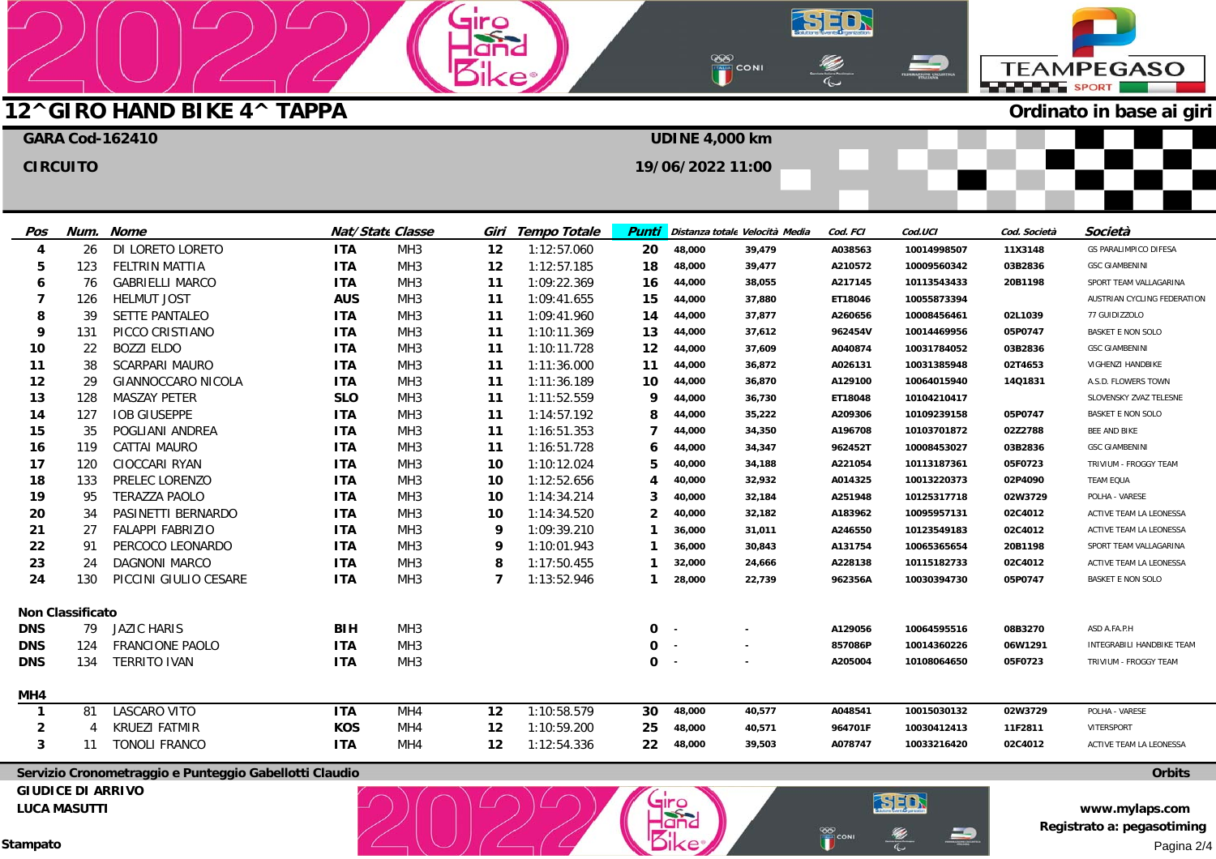## **12^GIRO HAND BIKE 4^ TAPPA GARA Cod-162410**

| Ordinato in base ai giri<br><b>UDINE 4,000 km</b><br>19/06/2022 11:00 | <b>OOD</b><br>THE CONI | <b>TEMANEROM CICLISTICA</b><br>FEMAL <b>ION</b> | <b>TEAMPEGASO</b><br>SPORT |  |
|-----------------------------------------------------------------------|------------------------|-------------------------------------------------|----------------------------|--|
|                                                                       |                        |                                                 |                            |  |
|                                                                       |                        |                                                 |                            |  |
|                                                                       |                        |                                                 |                            |  |
|                                                                       |                        |                                                 |                            |  |
|                                                                       |                        |                                                 |                            |  |

SED

 $\overline{\mathbb{C}}$ 

∍

 $\frac{880}{100}$ CONI

| Pos          | Num.                    | <b>Nome</b>             |            | Nat/State Classe | Giri | Tempo Totale | Punti          |        | Distanza totale Velocità Media | Cod. FCI | Cod.UCI     | Cod. Società | Società                      |
|--------------|-------------------------|-------------------------|------------|------------------|------|--------------|----------------|--------|--------------------------------|----------|-------------|--------------|------------------------------|
| 4            | 26                      | DI LORETO LORETO        | <b>ITA</b> | MH <sub>3</sub>  | 12   | 1:12:57.060  | 20             | 48,000 | 39,479                         | A038563  | 10014998507 | 11X3148      | <b>GS PARALIMPICO DIFESA</b> |
| 5            | 123                     | <b>FELTRIN MATTIA</b>   | <b>ITA</b> | MH <sub>3</sub>  | 12   | 1:12:57.185  | 18             | 48,000 | 39,477                         | A210572  | 10009560342 | 03B2836      | <b>GSC GIAMBENINI</b>        |
| 6            | 76                      | <b>GABRIELLI MARCO</b>  | <b>ITA</b> | MH <sub>3</sub>  | 11   | 1:09:22.369  | 16             | 44,000 | 38,055                         | A217145  | 10113543433 | 20B1198      | SPORT TEAM VALLAGARINA       |
| 7            | 126                     | <b>HELMUT JOST</b>      | <b>AUS</b> | MH <sub>3</sub>  | 11   | 1:09:41.655  | 15             | 44,000 | 37,880                         | ET18046  | 10055873394 |              | AUSTRIAN CYCLING FEDERATION  |
| 8            | 39                      | <b>SETTE PANTALEO</b>   | <b>ITA</b> | MH <sub>3</sub>  | 11   | 1:09:41.960  | 14             | 44,000 | 37,877                         | A260656  | 10008456461 | 02L1039      | 77 GUIDIZZOLO                |
| 9            | 131                     | PICCO CRISTIANO         | <b>ITA</b> | MH <sub>3</sub>  | 11   | 1:10:11.369  | 13             | 44,000 | 37,612                         | 962454V  | 10014469956 | 05P0747      | <b>BASKET E NON SOLO</b>     |
| 10           | 22                      | <b>BOZZI ELDO</b>       | <b>ITA</b> | MH <sub>3</sub>  | 11   | 1:10:11.728  | 12             | 44,000 | 37,609                         | A040874  | 10031784052 | 03B2836      | <b>GSC GIAMBENINI</b>        |
| 11           | 38                      | <b>SCARPARI MAURO</b>   | <b>ITA</b> | MH <sub>3</sub>  | 11   | 1:11:36.000  | 11             | 44,000 | 36,872                         | A026131  | 10031385948 | 02T4653      | VIGHENZI HANDBIKE            |
| 12           | 29                      | GIANNOCCARO NICOLA      | <b>ITA</b> | MH <sub>3</sub>  | 11   | 1:11:36.189  | 10             | 44,000 | 36,870                         | A129100  | 10064015940 | 14Q1831      | A.S.D. FLOWERS TOWN          |
| 13           | 128                     | <b>MASZAY PETER</b>     | <b>SLO</b> | MH <sub>3</sub>  | 11   | 1:11:52.559  | 9              | 44,000 | 36,730                         | ET18048  | 10104210417 |              | SLOVENSKY ZVAZ TELESNE       |
| 14           | 127                     | <b>IOB GIUSEPPE</b>     | <b>ITA</b> | MH <sub>3</sub>  | 11   | 1:14:57.192  | 8              | 44,000 | 35,222                         | A209306  | 10109239158 | 05P0747      | <b>BASKET E NON SOLO</b>     |
| 15           | 35                      | POGLIANI ANDREA         | <b>ITA</b> | MH <sub>3</sub>  | 11   | 1:16:51.353  |                | 44,000 | 34,350                         | A196708  | 10103701872 | 02Z2788      | BEE AND BIKE                 |
| 16           | 119                     | CATTAI MAURO            | <b>ITA</b> | MH <sub>3</sub>  | 11   | 1:16:51.728  | 6              | 44,000 | 34,347                         | 962452T  | 10008453027 | 03B2836      | <b>GSC GIAMBENINI</b>        |
| 17           | 120                     | CIOCCARI RYAN           | <b>ITA</b> | MH <sub>3</sub>  | 10   | 1:10:12.024  | 5              | 40,000 | 34,188                         | A221054  | 10113187361 | 05F0723      | TRIVIUM - FROGGY TEAM        |
| 18           | 133                     | PRELEC LORENZO          | <b>ITA</b> | MH <sub>3</sub>  | 10   | 1:12:52.656  |                | 40,000 | 32,932                         | A014325  | 10013220373 | 02P4090      | <b>TEAM EQUA</b>             |
| 19           | 95                      | <b>TERAZZA PAOLO</b>    | <b>ITA</b> | MH <sub>3</sub>  | 10   | 1:14:34.214  |                | 40,000 | 32,184                         | A251948  | 10125317718 | 02W3729      | POLHA - VARESE               |
| 20           | 34                      | PASINETTI BERNARDO      | <b>ITA</b> | MH <sub>3</sub>  | 10   | 1:14:34.520  | $\overline{2}$ | 40,000 | 32,182                         | A183962  | 10095957131 | 02C4012      | ACTIVE TEAM LA LEONESSA      |
| 21           | 27                      | <b>FALAPPI FABRIZIO</b> | <b>ITA</b> | MH <sub>3</sub>  | 9    | 1:09:39.210  |                | 36,000 | 31,011                         | A246550  | 10123549183 | 02C4012      | ACTIVE TEAM LA LEONESSA      |
| 22           | 91                      | PERCOCO LEONARDO        | <b>ITA</b> | MH <sub>3</sub>  | 9    | 1:10:01.943  |                | 36,000 | 30,843                         | A131754  | 10065365654 | 20B1198      | SPORT TEAM VALLAGARINA       |
| 23           | 24                      | <b>DAGNONI MARCO</b>    | <b>ITA</b> | MH <sub>3</sub>  | 8    | 1:17:50.455  |                | 32,000 | 24,666                         | A228138  | 10115182733 | 02C4012      | ACTIVE TEAM LA LEONESSA      |
| 24           | 130                     | PICCINI GIULIO CESARE   | <b>ITA</b> | MH <sub>3</sub>  | 7    | 1:13:52.946  | 1              | 28,000 | 22,739                         | 962356A  | 10030394730 | 05P0747      | <b>BASKET E NON SOLO</b>     |
|              | <b>Non Classificato</b> |                         |            |                  |      |              |                |        |                                |          |             |              |                              |
| <b>DNS</b>   | 79                      | JAZIC HARIS             | <b>BIH</b> | MH <sub>3</sub>  |      |              | 0              | $\sim$ |                                | A129056  | 10064595516 | 08B3270      | ASD A.FA.P.H                 |
| <b>DNS</b>   | 124                     | <b>FRANCIONE PAOLO</b>  | <b>ITA</b> | MH <sub>3</sub>  |      |              | $\Omega$       | $\sim$ |                                | 857086P  | 10014360226 | 06W1291      | INTEGRABILI HANDBIKE TEAM    |
| <b>DNS</b>   | 134                     | <b>TERRITO IVAN</b>     | <b>ITA</b> | MH <sub>3</sub>  |      |              | 0              | $\sim$ |                                | A205004  | 10108064650 | 05F0723      | TRIVIUM - FROGGY TEAM        |
| MH4          |                         |                         |            |                  |      |              |                |        |                                |          |             |              |                              |
| $\mathbf{1}$ | 81                      | LASCARO VITO            | <b>ITA</b> | MH4              | 12   | 1:10:58.579  | 30             | 48,000 | 40,577                         | A048541  | 10015030132 | 02W3729      | POLHA - VARESE               |
| 2            |                         | <b>KRUEZI FATMIR</b>    | <b>KOS</b> | MH4              | 12   | 1:10:59.200  | 25             | 48,000 | 40,571                         | 964701F  | 10030412413 | 11F2811      | VITERSPORT                   |
| 3            | 11                      | <b>TONOLI FRANCO</b>    | <b>ITA</b> | MH4              | 12   | 1:12:54.336  | 22             | 48,000 | 39,503                         | A078747  | 10033216420 | 02C4012      | ACTIVE TEAM LA LEONESSA      |

airo  $\frac{1}{2}$ 

**Servizio Cronometraggio e Punteggio Gabellotti Claudio GIUDICE DI ARRIVO** 

**LUCA MASUTTI** 

**CIRCUITO** 

**Stampato** 

**www.mylaps.com Registrato a: pegasotiming**  Pagina 2/4

**Orbits**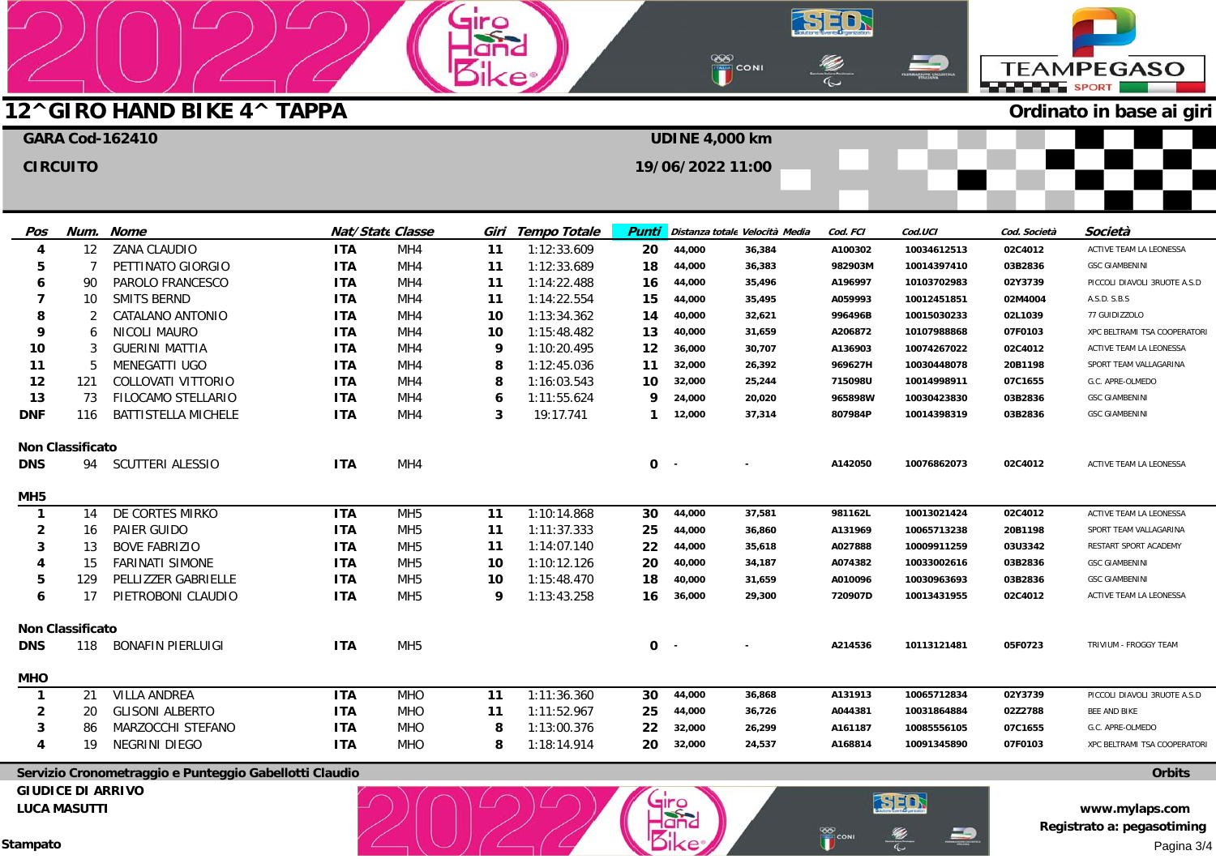|                 |                         |                            |            |                         | <b>Iro</b> |                   |              |                       | <b>OOO</b><br>Example CONI                  |          |             | <b>BARBARA SPORT</b> | <b>TEAMPEGASO</b>            |
|-----------------|-------------------------|----------------------------|------------|-------------------------|------------|-------------------|--------------|-----------------------|---------------------------------------------|----------|-------------|----------------------|------------------------------|
|                 |                         | 12^GIRO HAND BIKE 4^ TAPPA |            |                         |            |                   |              |                       |                                             |          |             |                      | Ordinato in base ai giri     |
|                 |                         | <b>GARA Cod-162410</b>     |            |                         |            |                   |              | <b>UDINE 4,000 km</b> |                                             |          |             |                      |                              |
|                 | <b>CIRCUITO</b>         |                            |            |                         |            |                   |              | 19/06/2022 11:00      |                                             |          |             |                      |                              |
|                 |                         |                            |            |                         |            |                   |              |                       |                                             |          |             |                      |                              |
|                 |                         |                            |            |                         |            |                   |              |                       |                                             |          |             |                      |                              |
| Pos             |                         | Num. Nome                  |            | <b>Nat/State Classe</b> |            | Giri Tempo Totale |              |                       | <b>Punti</b> Distanza totale Velocità Media | Cod. FCI | Cod.UCI     | Cod. Società         | Società                      |
| 4               | $12 \overline{ }$       | <b>ZANA CLAUDIO</b>        | <b>ITA</b> | MH4                     | 11         | 1:12:33.609       | 20           | 44,000                | 36,384                                      | A100302  | 10034612513 | 02C4012              | ACTIVE TEAM LA LEONESSA      |
| 5               | 7                       | PETTINATO GIORGIO          | <b>ITA</b> | MH4                     | 11         | 1:12:33.689       | 18           | 44,000                | 36,383                                      | 982903M  | 10014397410 | 03B2836              | <b>GSC GIAMBENINI</b>        |
| 6               | 90                      | PAROLO FRANCESCO           | <b>ITA</b> | MH4                     | 11         | 1:14:22.488       | 16           | 44,000                | 35,496                                      | A196997  | 10103702983 | 02Y3739              | PICCOLI DIAVOLI 3RUOTE A.S.D |
| 7               | 10                      | <b>SMITS BERND</b>         | <b>ITA</b> | MH <sub>4</sub>         | 11         | 1:14:22.554       | 15           | 44,000                | 35,495                                      | A059993  | 10012451851 | 02M4004              | A.S.D. S.B.S                 |
| ឧ               | 2                       | CATALANO ANTONIO           | <b>ITA</b> | MH4                     | 10         | 1:13:34.362       | 14           | 40,000                | 32,621                                      | 996496B  | 10015030233 | 02L1039              | 77 GUIDIZZOLO                |
| 9               | 6                       | NICOLI MAURO               | <b>ITA</b> | MH4                     | 10         | 1:15:48.482       | 13           | 40,000                | 31,659                                      | A206872  | 10107988868 | 07F0103              | XPC BELTRAMI TSA COOPERATORI |
| 10              | 3                       | <b>GUERINI MATTIA</b>      | <b>ITA</b> | MH4                     | 9          | 1:10:20.495       | 12           | 36,000                | 30,707                                      | A136903  | 10074267022 | 02C4012              | ACTIVE TEAM LA LEONESSA      |
| 11              | 5                       | MENEGATTI UGO              | <b>ITA</b> | MH4                     | 8          | 1:12:45.036       | 11           | 32,000                | 26,392                                      | 969627H  | 10030448078 | 20B1198              | SPORT TEAM VALLAGARINA       |
| 12              | 121                     | COLLOVATI VITTORIO         | <b>ITA</b> | MH4                     | 8          | 1:16:03.543       | 10           | 32,000                | 25,244                                      | 715098U  | 10014998911 | 07C1655              | G.C. APRE-OLMEDO             |
| 13              | 73                      | FILOCAMO STELLARIO         | <b>ITA</b> | MH <sub>4</sub>         | 6          | 1:11:55.624       | Q            | 24,000                | 20,020                                      | 965898W  | 10030423830 | 03B2836              | <b>GSC GIAMBENINI</b>        |
| <b>DNF</b>      | 116                     | BATTISTELLA MICHELE        | <b>ITA</b> | MH4                     | 3          | 19:17.741         | $\mathbf{1}$ | 12,000                | 37,314                                      | 807984P  | 10014398319 | 03B2836              | <b>GSC GIAMBENINI</b>        |
|                 | <b>Non Classificato</b> |                            |            |                         |            |                   |              |                       |                                             |          |             |                      |                              |
| <b>DNS</b>      | 94                      | SCUTTERI ALESSIO           | <b>ITA</b> | MH4                     |            |                   | 0            | $\sim$                |                                             | A142050  | 10076862073 | 02C4012              | ACTIVE TEAM LA LEONESSA      |
| MH <sub>5</sub> |                         |                            |            |                         |            |                   |              |                       |                                             |          |             |                      |                              |
| $\mathbf{1}$    | 14                      | DE CORTES MIRKO            | <b>ITA</b> | MH <sub>5</sub>         | 11         | 1:10:14.868       | 30           | 44,000                | 37,581                                      | 981162L  | 10013021424 | 02C4012              | ACTIVE TEAM LA LEONESSA      |
| $\mathbf{2}$    | 16                      | PAIER GUIDO                | <b>ITA</b> | MH <sub>5</sub>         | 11         | 1:11:37.333       | 25           | 44,000                | 36,860                                      | A131969  | 10065713238 | 20B1198              | SPORT TEAM VALLAGARINA       |
| 3               | 13                      | <b>BOVE FABRIZIO</b>       | <b>ITA</b> | MH <sub>5</sub>         | 11         | 1:14:07.140       | 22           | 44,000                | 35,618                                      | A027888  | 10009911259 | 03U3342              | RESTART SPORT ACADEMY        |
| 4               | 15                      | <b>FARINATI SIMONE</b>     | <b>ITA</b> | MH <sub>5</sub>         | 10         | 1:10:12.126       | 20           | 40,000                | 34,187                                      | A074382  | 10033002616 | 03B2836              | <b>GSC GIAMBENINI</b>        |
| 5               | 129                     | PELLIZZER GABRIELLE        | <b>ITA</b> | MH <sub>5</sub>         | 10         | 1:15:48.470       | 18           | 40,000                | 31,659                                      | A010096  | 10030963693 | 03B2836              | <b>GSC GIAMBENINI</b>        |
| 6               | 17                      | PIETROBONI CLAUDIO         | <b>ITA</b> | MH <sub>5</sub>         | 9          | 1:13:43.258       | 16           | 36,000                | 29,300                                      | 720907D  | 10013431955 | 02C4012              | ACTIVE TEAM LA LEONESSA      |
|                 | <b>Non Classificato</b> |                            |            |                         |            |                   |              |                       |                                             |          |             |                      |                              |
| <b>DNS</b>      | 118                     | <b>BONAFIN PIERLUIGI</b>   | <b>ITA</b> | MH <sub>5</sub>         |            |                   | 0            |                       |                                             | A214536  | 10113121481 | 05F0723              | TRIVIUM - FROGGY TEAM        |
| <b>MHO</b>      |                         |                            |            |                         |            |                   |              |                       |                                             |          |             |                      |                              |
| $\mathbf{1}$    | 21                      | VILLA ANDREA               | <b>ITA</b> | <b>MHO</b>              | 11         | 1:11:36.360       | 30           | 44,000                | 36,868                                      | A131913  | 10065712834 | 02Y3739              | PICCOLI DIAVOLI 3RUOTE A.S.D |
| $\overline{2}$  | 20                      | <b>GLISONI ALBERTO</b>     | <b>ITA</b> | <b>MHO</b>              | 11         | 1:11:52.967       | 25           | 44,000                | 36,726                                      | A044381  | 10031864884 | 02Z2788              | BEE AND BIKE                 |

SED

E)

29

 $\frac{88}{10}$ CONI



giro  $-\frac{1}{2}$ 

**Servizio Cronometraggio e Punteggio Gabellotti Claudio GIUDICE DI ARRIVO** 

**LUCA MASUTTI** 

**Stampato** 

**Orbits**